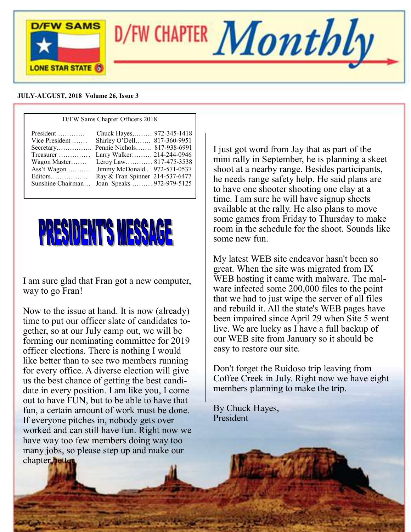

#### **JULY-AUGUST, 2018 Volume 26, Issue 3**

| D/FW Sams Chapter Officers 2018                                                                                                                  |                                                                                                                                                                                                                |  |  |  |
|--------------------------------------------------------------------------------------------------------------------------------------------------|----------------------------------------------------------------------------------------------------------------------------------------------------------------------------------------------------------------|--|--|--|
| President<br>Vice President<br>Secretary Pennie Nichols 817-938-6991<br>Treasurer<br>Wagon Master<br>Ass't Wagon<br>Editors<br>Sunshine Chairman | Chuck Hayes, 972-345-1418<br>Shirley O'Dell 817-360-9951<br>Larry Walker 214-244-0946<br>Leroy Law 817-475-3538<br>Jimmy McDonald 972-571-0537<br>Ray & Fran Spinner 214-537-6477<br>Joan Speaks  972-979-5125 |  |  |  |



I am sure glad that Fran got a new computer, way to go Fran!

Now to the issue at hand. It is now (already) time to put our officer slate of candidates together, so at our July camp out, we will be forming our nominating committee for 2019 officer elections. There is nothing I would like better than to see two members running for every office. A diverse election will give us the best chance of getting the best candidate in every position. I am like you, I come out to have FUN, but to be able to have that fun, a certain amount of work must be done. If everyone pitches in, nobody gets over worked and can still have fun. Right now we have way too few members doing way too many jobs, so please step up and make our chapter **bette** 

I just got word from Jay that as part of the mini rally in September, he is planning a skeet shoot at a nearby range. Besides participants, he needs range safety help. He said plans are to have one shooter shooting one clay at a time. I am sure he will have signup sheets available at the rally. He also plans to move some games from Friday to Thursday to make room in the schedule for the shoot. Sounds like some new fun.

My latest WEB site endeavor hasn't been so great. When the site was migrated from IX WEB hosting it came with malware. The malware infected some 200,000 files to the point that we had to just wipe the server of all files and rebuild it. All the state's WEB pages have been impaired since April 29 when Site 5 went live. We are lucky as I have a full backup of our WEB site from January so it should be easy to restore our site.

Don't forget the Ruidoso trip leaving from Coffee Creek in July. Right now we have eight members planning to make the trip.

By Chuck Hayes, President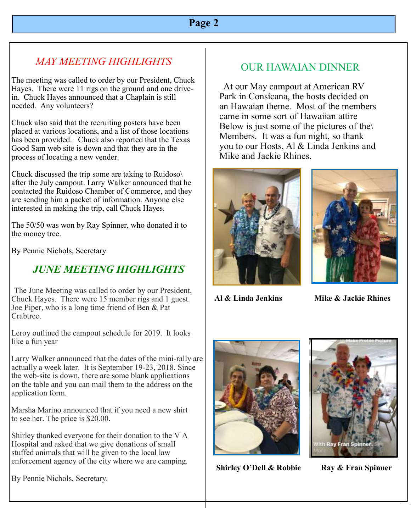# **Page 2**

# *MAY MEETING HIGHLIGHTS*

The meeting was called to order by our President, Chuck Hayes. There were 11 rigs on the ground and one drivein. Chuck Hayes announced that a Chaplain is still needed. Any volunteers?

Chuck also said that the recruiting posters have been placed at various locations, and a list of those locations has been provided. Chuck also reported that the Texas Good Sam web site is down and that they are in the process of locating a new vender.

Chuck discussed the trip some are taking to Ruidoso\ after the July campout. Larry Walker announced that he contacted the Ruidoso Chamber of Commerce, and they are sending him a packet of information. Anyone else interested in making the trip, call Chuck Hayes.

The 50/50 was won by Ray Spinner, who donated it to the money tree.

By Pennie Nichols, Secretary

# *JUNE MEETING HIGHLIGHTS*

The June Meeting was called to order by our President, Chuck Hayes. There were 15 member rigs and 1 guest. Joe Piper, who is a long time friend of Ben & Pat Crabtree.

Leroy outlined the campout schedule for 2019. It looks like a fun year

Larry Walker announced that the dates of the mini-rally are actually a week later. It is September 19-23, 2018. Since the web-site is down, there are some blank applications on the table and you can mail them to the address on the application form.

Marsha Marino announced that if you need a new shirt to see her. The price is \$20.00.

Shirley thanked everyone for their donation to the V A Hospital and asked that we give donations of small stuffed animals that will be given to the local law enforcement agency of the city where we are camping.

By Pennie Nichols, Secretary.

# OUR HAWAIAN DINNER

 At our May campout at American RV Park in Consicana, the hosts decided on an Hawaian theme. Most of the members came in some sort of Hawaiian attire Below is just some of the pictures of the  $\setminus$ Members. It was a fun night, so thank you to our Hosts, Al & Linda Jenkins and Mike and Jackie Rhines.





**Al & Linda Jenkins Mike & Jackie Rhines**



**Shirley O'Dell & Robbie Ray & Fran Spinner**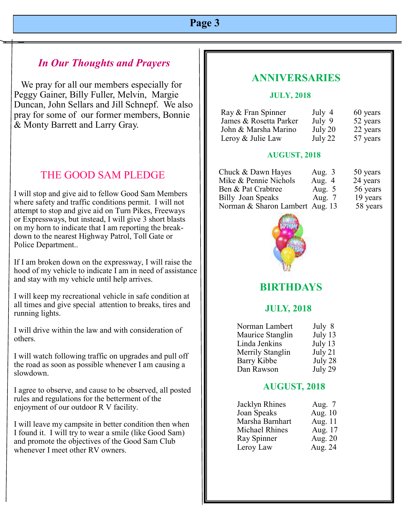### *In Our Thoughts and Prayers*

 We pray for all our members especially for Peggy Gainer, Billy Fuller, Melvin, Margie Duncan, John Sellars and Jill Schnepf. We also pray for some of our former members, Bonnie & Monty Barrett and Larry Gray.

### THE GOOD SAM PLEDGE

I will stop and give aid to fellow Good Sam Members where safety and traffic conditions permit. I will not attempt to stop and give aid on Turn Pikes, Freeways or Expressways, but instead, I will give 3 short blasts on my horn to indicate that I am reporting the breakdown to the nearest Highway Patrol, Toll Gate or Police Department..

If I am broken down on the expressway, I will raise the hood of my vehicle to indicate I am in need of assistance and stay with my vehicle until help arrives.

I will keep my recreational vehicle in safe condition at all times and give special attention to breaks, tires and running lights.

I will drive within the law and with consideration of others.

I will watch following traffic on upgrades and pull off the road as soon as possible whenever I am causing a slowdown.

I agree to observe, and cause to be observed, all posted rules and regulations for the betterment of the enjoyment of our outdoor R V facility.

I will leave my campsite in better condition then when I found it. I will try to wear a smile (like Good Sam) and promote the objectives of the Good Sam Club whenever I meet other RV owners.

### **ANNIVERSARIES**

#### **JULY, 2018**

| Ray & Fran Spinner     | July 4  | 60 years |
|------------------------|---------|----------|
| James & Rosetta Parker | July 9  | 52 years |
| John & Marsha Marino   | July 20 | 22 years |
| Leroy & Julie Law      | July 22 | 57 years |

#### **AUGUST, 2018**

| Chuck & Dawn Hayes              | Aug. $3$ | 50 years |
|---------------------------------|----------|----------|
| Mike & Pennie Nichols           | Aug. $4$ | 24 years |
| Ben & Pat Crabtree              | Aug. $5$ | 56 years |
| <b>Billy Joan Speaks</b>        | Aug. $7$ | 19 years |
| Norman & Sharon Lambert Aug. 13 |          | 58 years |



# **BIRTHDAYS**

### **JULY, 2018**

| Norman Lambert   | July 8  |
|------------------|---------|
| Maurice Stanglin | July 13 |
| Linda Jenkins    | July 13 |
| Merrily Stanglin | July 21 |
| Barry Kibbe      | July 28 |
| Dan Rawson       | July 29 |

#### **AUGUST, 2018**

| Jacklyn Rhines        | Aug. $7$ |
|-----------------------|----------|
| Joan Speaks           | Aug. 10  |
| Marsha Barnhart       | Aug. 11  |
| <b>Michael Rhines</b> | Aug. 17  |
| Ray Spinner           | Aug. 20  |
| Leroy Law             | Aug. 24  |